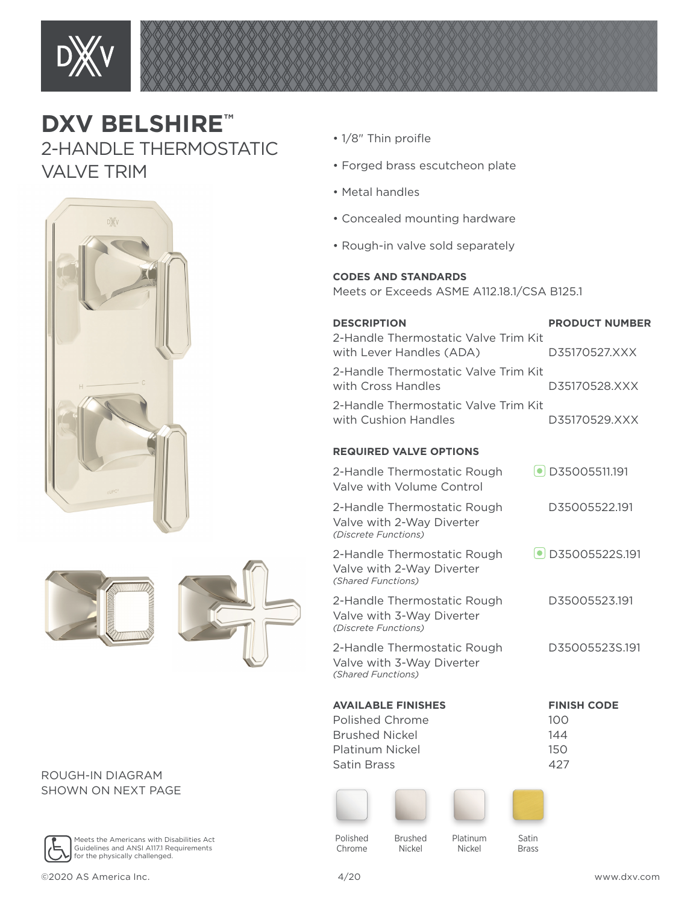

## **DXV BELSHIRE™**  2-HANDLE THERMOSTATIC VALVE TRIM



## ROUGH-IN DIAGRAM SHOWN ON NEXT PAGE



Meets the Americans with Disabilities Act Guidelines and ANSI A117.1 Requirements for the physically challenged.

- $1/8$ " Thin proifle
- Forged brass escutcheon plate
- Metal handles
- Concealed mounting hardware
- Rough-in valve sold separately

## **CODES AND STANDARDS**

Meets or Exceeds ASME A112.18.1/CSA B125.1

| <b>DESCRIPTION</b><br>2-Handle Thermostatic Valve Trim Kit                       | <b>PRODUCT NUMBER</b>    |
|----------------------------------------------------------------------------------|--------------------------|
| with Lever Handles (ADA)                                                         | D35170527.XXX            |
| 2-Handle Thermostatic Valve Trim Kit<br>with Cross Handles                       | D35170528.XXX            |
| 2-Handle Thermostatic Valve Trim Kit<br>with Cushion Handles                     | D35170529.XXX            |
| <b>REQUIRED VALVE OPTIONS</b>                                                    |                          |
| 2-Handle Thermostatic Rough<br>Valve with Volume Control                         | $\bullet$ D35005511.191  |
| 2-Handle Thermostatic Rough<br>Valve with 2-Way Diverter<br>(Discrete Functions) | D35005522.191            |
| 2-Handle Thermostatic Rough<br>Valve with 2-Way Diverter<br>(Shared Functions)   | $\bullet$ D35005522S.191 |
| 2-Handle Thermostatic Rough<br>Valve with 3-Way Diverter<br>(Discrete Functions) | D35005523.191            |
| 2-Handle Thermostatic Rough<br>Valve with 3-Way Diverter<br>(Shared Functions)   | D35005523S.191           |
| <b>AVAILABLE FINISHES</b>                                                        | <b>FINISH CODE</b>       |
| Polished Chrome<br><b>Brushed Nickel</b>                                         | 100<br>144               |
| Platinum Nickel                                                                  | 150                      |
| Satin Brass                                                                      | 427                      |







Polished Chrome

Brushed Platinum Nickel

Nickel

Satin Brass